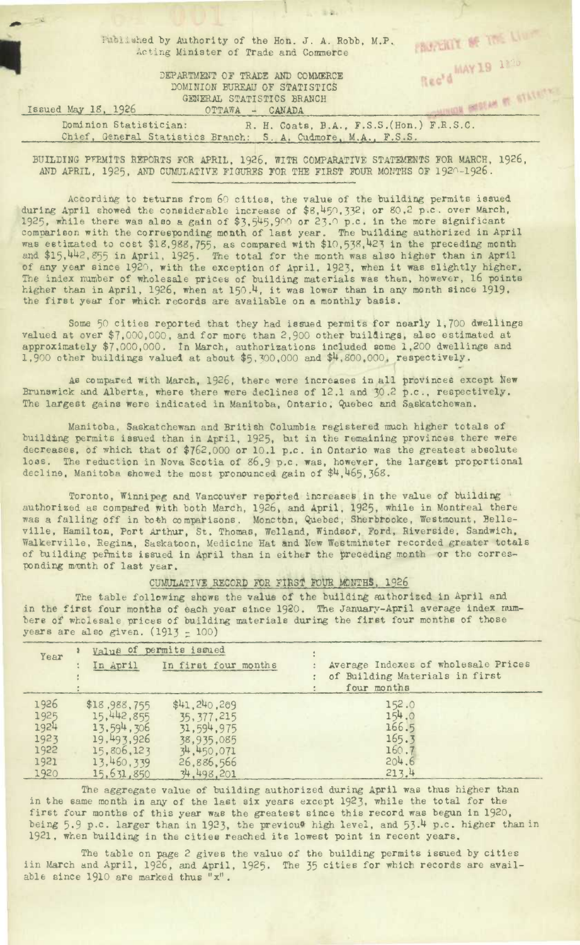Fublished by Authority of the Hon. J. A. Robb, M.P.<br>Acting Minister of Trade and Commerce Acting Minister of Trade and Commerce

Rec<sup>r</sup>d MAY 19 1820 DEPARTMENT OF TRADE AND COMMERCE DOMINION BUREAU OF STATISTICS **HINGH BESEAR RT STATE** GENERAL STATISTICS BRANCH Issued May 18, 1926 OTTAWA - CANADA Dominion Statistician: R. H. Coats, B.A., F.S.S.(Hon.) F.R.S.C. Chief, General Statistics Branch: S. A. Cudmore, M.A., F.S.S.

PROPERTY OF THE LIVING

BUILDING P<sup>FRMITS</sup> REPORTS FOR APRIL, 1926, WITH COMPARATIVE STATEMENTS FOR MARCH, 1926, AND APRIL, 1925, AND CUMULATIVE FIGURES FOR THE FIRST FOUR MONTHS OF 1920-1926.

According to teturns from 60 cities, the value of the building permits issued during April showed the considerable increase of \$8,450.332, or 80.2 p.c. over March, 1925, while there was also a gain of \$3,545,900 or 23.0 p.c. in the more significant comnarison with the corresponding month of last year. The building authorized in April was estimated to cost \$18,988,755, as compared with \$10,538,423 in the preceding month and \$15)442,555 in April, 1925. The total for the month was also higher than in April of any year since 1920, with the exception of April, 1923, when it was slightly higher. *The* index number of wholesale prices of building materials was then, however, 16 points higher than in April, 1926, when at 150.14, it was lower than **in** any month since 1919, the first year for which records are available on a monthly basis.

Some 50 cities reported that they had issued permits for nearly 1,700 dwellings valued at over \$7,000,000, and for more than 2,900 **other buildings, also estimated at approximately** \$7,000,000. In March, authorizations included some 1,200 dwellings and 1,900 other buildings *value4* at about \$5,300,000 and \$14,800,000, respectively.

As compared with March, 1926, there were increases in all provinces except New Brunswick and Alberta, where there were declines of 12.1 and 30.2 p.c., respectively. The largest gains were indicated in Manitoba, Ontario; Quebec and Saskatchewan.

Manitoba, Saskatchewan and British Columbia registered much higher totals of building permits issued than in April, 1925, but in the remaining provinces there were decreases, of which that of \$762,000 or 10.1 p.c. in Ontario was the greatest absolute loss. The reduction in Nova Scotia of 56.9 p.c. was, however, the largest proportional decline. Manitoba showed the most pronounced gain of \$4,465,368.

Toronto, Winnipeg and Vancouver reported increases in the value of building authorized as compared with both March, 1926, and April, 1925, while in Montreal there was a falling off in both comparisons. Monctbn, Quebec, Sherbrooke, Westmount, Belle**yule, Hami1tor,** Port Arthur, St. Thomas, Welland, Windsor, Ford, Riverside, Sandwich, Walkerville, Regina, Saskatoon, Medicine Hat and New Westminster recorded greater totals of building permits issued in April than in either the preceding month or the corresponding month of last year.

## CUMULATIVE RECORD FOR FIRST FOUR MONTHS, 1926

The table following shøwo the value of the building authorized **in** April and in the first four montha of each year since 1920. The January-April average index numbers of wholesale prices of building materials during the first four months of those years are also given.  $(1913 - 100)$ 

| Year                                                 | Value of permits issued                                                                                                                                                                                  |                                                                                      |  |
|------------------------------------------------------|----------------------------------------------------------------------------------------------------------------------------------------------------------------------------------------------------------|--------------------------------------------------------------------------------------|--|
|                                                      | In first four months<br>In April                                                                                                                                                                         | Average Indexes of wholesale Prices<br>of Building Materials in first<br>four months |  |
| 1926<br>1925<br>1924<br>1923<br>1922<br>1921<br>1920 | \$41.240.209<br>\$18,988,755<br>15,442,855<br>35, 377, 215<br>13,594,306<br>31, 594, 975<br>19,493,926<br>38,935,085<br>34.450.071<br>15,806,123<br>13,460,339<br>26,886,566<br>34,498,201<br>15,631,850 | 152.0<br>154.0<br>166.5<br>165.3<br>160.7<br>204.6<br>213.4                          |  |

The aggregate value of building authorized during April was thus higher than in the same month in any of the last six years except 1923, while the total for the first four months of this year was the greatest since this record was begun in  $1920$ , being 5.9 p.c. larger than in 1923, the previous high level, and 53.4 p.c. higher than in 1921, when building in the cities reached its lowest point in recent years.

The table on page 2 gives the value of the building permits issued by cities iin March and April, 1926, and April, 1925. The 35 cities for which records are available since 1910 are marked thus "x".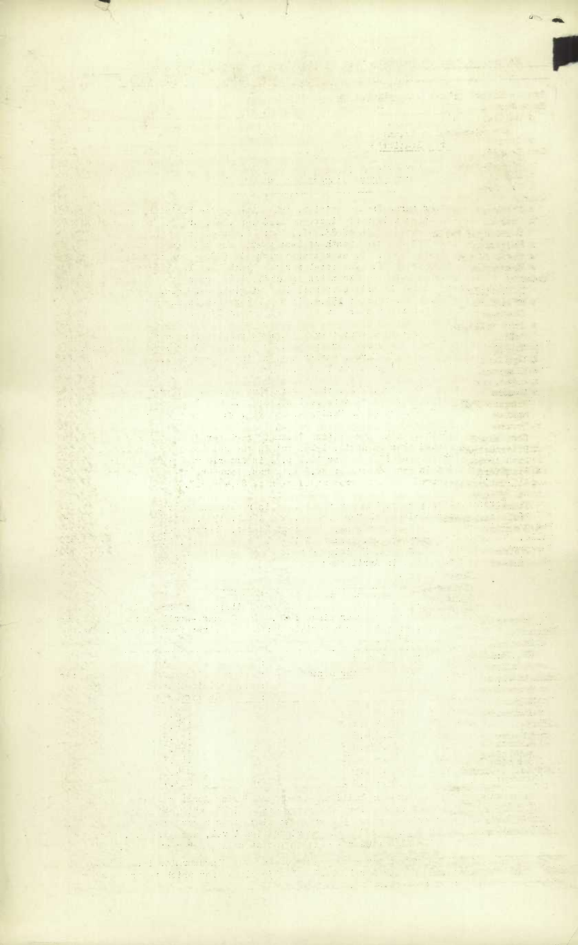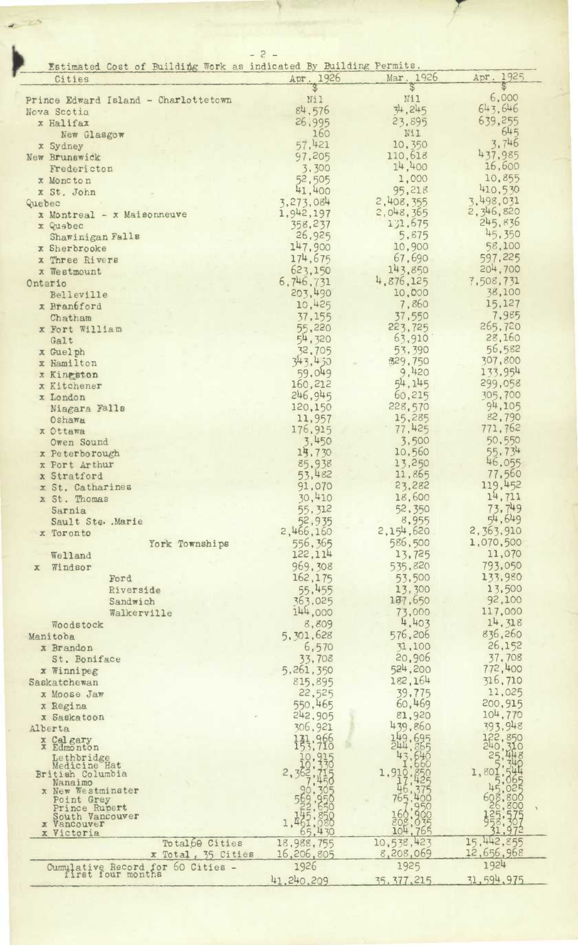| Estimated Cost of Building Work as indicated By Building Permits. |                      |                     |                    |  |  |
|-------------------------------------------------------------------|----------------------|---------------------|--------------------|--|--|
| Cities                                                            | Apr. 1926            | Mar. 1926           | Apr. 1925          |  |  |
|                                                                   | D                    | \$                  | 6,000              |  |  |
| Prince Edward Island - Charlottetown                              | Nil                  | Ni1<br>34,245       | 643,646            |  |  |
| Nova Scotia                                                       | 84,576<br>26,995     | 23,895              | 639,255            |  |  |
| x Halifax<br>New Glasgow                                          | 160                  | Ni1                 | 645                |  |  |
| x Sydney                                                          | 57,421               | 10,350              | 3,746              |  |  |
| New Brunswick                                                     | 97,205               | 110,618             | 437,985            |  |  |
| Fredericton                                                       | 3,300                | 14,400              | 16,600             |  |  |
| x Moncton                                                         | 52,505               | 1,000               | 10,855             |  |  |
| x St. John                                                        | 41,400               | 95,218              | 410.530            |  |  |
| Quebec                                                            | 3,273,084            | 2,408,355           | 3,498,031          |  |  |
| $x$ Montreal - $x$ Maisonneuve                                    | 1,942,197            | 2,048,365           | 2, 346, 820        |  |  |
| x Quebec                                                          | 358,237              | 131,675             | 245,836            |  |  |
| Shawinigan Falls                                                  | 26,925               | 5,875               | 45,350             |  |  |
| x Sherbrooke                                                      | 147,900              | 10,900              | 58,100             |  |  |
| x Three Rivers                                                    | 174,675              | 67,690              | 597,225<br>204,700 |  |  |
| x Westmount                                                       | 623,150              | 143.850             | 7,508,731          |  |  |
| Ontario                                                           | 6.746,731<br>203,490 | 4,876,125<br>10,000 | 38,100             |  |  |
| Belleville                                                        | 10,425               | 7,860               | 15,127             |  |  |
| x Branbford                                                       | 37,155               | 37,550              | 7,985              |  |  |
| Chatham<br>x Fort William                                         | 55,220               | 223,725             | 265,720            |  |  |
| Galt                                                              | 54,320               | 63,910              | 28,160             |  |  |
| x Guelph                                                          | 32,705               | 53,390              | 56,582             |  |  |
| x Hamilton                                                        | 343,450              | 祝29,750             | 307,800            |  |  |
| x Kingston                                                        | 59.049               | 9,420               | 133,954            |  |  |
| x Kitchener                                                       | 160,212              | 54,145              | 299,058            |  |  |
| x London                                                          | 246,945              | 60,215              | 305,700            |  |  |
| Niagara Falls                                                     | 120,150              | 228,570             | 94,105             |  |  |
| Oshawa                                                            | 11,957               | 15,285              | 82,790             |  |  |
| x Ottawa                                                          | 176,915              | 77,425              | 771,762            |  |  |
| Owen Sound                                                        | 3,450                | 3,500               | 50,550             |  |  |
| x Peterborough                                                    | 14,730               | 10,560<br>13,250    | 55,734<br>46,055   |  |  |
| x Port Arthur                                                     | 85,938<br>53,482     | 11,865              | 77,560             |  |  |
| x Stratford<br>x St. Catharines                                   | 91,070               | 23,282              | 119,452            |  |  |
| x St. Thomas                                                      | 30,410               | 18,600              | 14,711             |  |  |
| Sarnia                                                            | 55, 312              | 52,350              | 73,749             |  |  |
| Sault Ste. . Marie                                                | 52,935               | 8,955               | 54,649             |  |  |
| x Toronto                                                         | 2,466,160            | 2,154,620           | 2, 363, 910        |  |  |
| York Townships                                                    | 556,365              | 586,500             | 1,070,500          |  |  |
| Welland                                                           | 122,114              | 13,725              | 11,070             |  |  |
| Windsor<br>Х.                                                     | 969,308              | 535,820             | 793,050            |  |  |
| Ford                                                              | 162,175              | 53,500              | 133,980            |  |  |
| Riverside                                                         | 55,455               | 13,300              | 13,500             |  |  |
| Sandwich                                                          | 363.025              | 187,650             | 92,100             |  |  |
| Walkerville                                                       | 144,000              | 73,000              | 117,000            |  |  |
| Woodstock                                                         | 8,809                | 4,403               | 14,318             |  |  |
| Manitoba                                                          | 5,301,628            | 576,206             | 836,260            |  |  |
| x Brandon                                                         | 6,570                | 31,100<br>20,906    | 26,152             |  |  |
| St. Boniface                                                      | 33,708<br>5,261,350  | 524,200             | 37,708<br>772,400  |  |  |
| x Winnipeg<br>Saskatchewan                                        | 815,895              | 182,164             | 316,710            |  |  |
|                                                                   | 22,525               | 39,775              | 11,025             |  |  |
| x Moose Jaw<br>x Regina                                           | 550,465              | 60,469              | 200,915            |  |  |
| x Saskatoon                                                       | 242,905              | 81,920              | 104,770            |  |  |
| Alberta                                                           | 306,921              | 439,860             | 393,948            |  |  |
| x Calgary                                                         |                      | 49,695              | 122,850            |  |  |
| x Edmonton                                                        | 131,966              | 244.865             | 240.310            |  |  |
| Lethbridge<br>Medicine Hat                                        |                      |                     |                    |  |  |
| British Columbia                                                  |                      | 1,910               | 1,801              |  |  |
| Nanaimo<br>x New Westminster                                      |                      |                     |                    |  |  |
| Point Grey                                                        |                      |                     |                    |  |  |
| Prince Rupert                                                     |                      |                     |                    |  |  |
| South Vancouver<br>x Vancouver                                    |                      |                     |                    |  |  |
| x Victoria                                                        | 30                   | 104.<br>765         |                    |  |  |
| Total60 Cities                                                    | 18,988,755           | 10,538,423          | 15, 442, 855       |  |  |
| x Total, 35 Cities                                                | 16,206,805           | 8,208,069           | 12,656,968         |  |  |
| Cumulative Record for 60 Cities -                                 | 1926                 | 1925                | 1924               |  |  |
|                                                                   | 41.240.209           | 35, 377, 215        | 31.594.975         |  |  |

Ρ